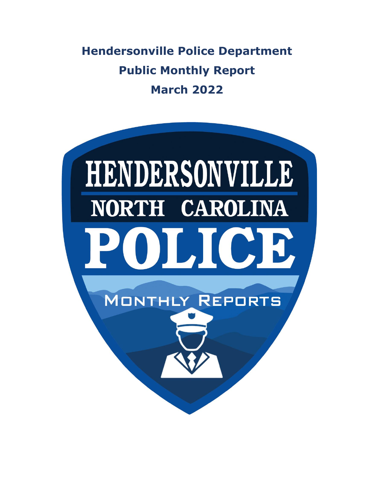**Hendersonville Police Department Public Monthly Report March 2022**

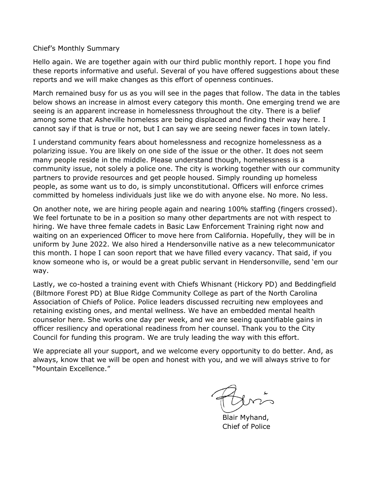Chief's Monthly Summary

Hello again. We are together again with our third public monthly report. I hope you find these reports informative and useful. Several of you have offered suggestions about these reports and we will make changes as this effort of openness continues.

March remained busy for us as you will see in the pages that follow. The data in the tables below shows an increase in almost every category this month. One emerging trend we are seeing is an apparent increase in homelessness throughout the city. There is a belief among some that Asheville homeless are being displaced and finding their way here. I cannot say if that is true or not, but I can say we are seeing newer faces in town lately.

I understand community fears about homelessness and recognize homelessness as a polarizing issue. You are likely on one side of the issue or the other. It does not seem many people reside in the middle. Please understand though, homelessness is a community issue, not solely a police one. The city is working together with our community partners to provide resources and get people housed. Simply rounding up homeless people, as some want us to do, is simply unconstitutional. Officers will enforce crimes committed by homeless individuals just like we do with anyone else. No more. No less.

On another note, we are hiring people again and nearing 100% staffing (fingers crossed). We feel fortunate to be in a position so many other departments are not with respect to hiring. We have three female cadets in Basic Law Enforcement Training right now and waiting on an experienced Officer to move here from California. Hopefully, they will be in uniform by June 2022. We also hired a Hendersonville native as a new telecommunicator this month. I hope I can soon report that we have filled every vacancy. That said, if you know someone who is, or would be a great public servant in Hendersonville, send 'em our way.

Lastly, we co-hosted a training event with Chiefs Whisnant (Hickory PD) and Beddingfield (Biltmore Forest PD) at Blue Ridge Community College as part of the North Carolina Association of Chiefs of Police. Police leaders discussed recruiting new employees and retaining existing ones, and mental wellness. We have an embedded mental health counselor here. She works one day per week, and we are seeing quantifiable gains in officer resiliency and operational readiness from her counsel. Thank you to the City Council for funding this program. We are truly leading the way with this effort.

We appreciate all your support, and we welcome every opportunity to do better. And, as always, know that we will be open and honest with you, and we will always strive to for "Mountain Excellence."

 Blair Myhand, Chief of Police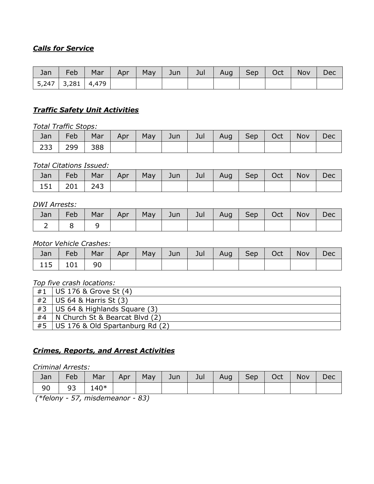# *Calls for Service*

| Jan | Feb                   | Mar | Apr | May | Jun | Jul | Aug | $ $ Sep | Oct | Nov | Dec |
|-----|-----------------------|-----|-----|-----|-----|-----|-----|---------|-----|-----|-----|
|     | 5,247   3,281   4,479 |     |     |     |     |     |     |         |     |     |     |

#### *Traffic Safety Unit Activities*

*Total Traffic Stops:*

| Jan | Feb | Mar | Apr | May | Jun $\parallel$ | Jul | Aug Sep | Oct | Nov | Dec |
|-----|-----|-----|-----|-----|-----------------|-----|---------|-----|-----|-----|
| 233 | 299 | 388 |     |     |                 |     |         |     |     |     |

#### *Total Citations Issued:*

| Jan | Feb             |  |  | Mar   Apr   May   Jun   Jul   Aug   Sep   Oct |  | Nov | Dec |
|-----|-----------------|--|--|-----------------------------------------------|--|-----|-----|
|     | 151   201   243 |  |  |                                               |  |     |     |

#### *DWI Arrests:*

| Jan | Feb | Mar | Apr |  | May   Jun   Jul   Aug   Sep   Oct |  | Nov | Dec |
|-----|-----|-----|-----|--|-----------------------------------|--|-----|-----|
|     |     |     |     |  |                                   |  |     |     |

#### *Motor Vehicle Crashes:*

|            |  |  |  |  | Jan   Feb   Mar   Apr   May   Jun   Jul   Aug   Sep   Oct   Nov   Dec |  |
|------------|--|--|--|--|-----------------------------------------------------------------------|--|
| 115 101 90 |  |  |  |  |                                                                       |  |

#### *Top five crash locations:*

| #1 | US 176 & Grove St (4)           |
|----|---------------------------------|
| #2 | US $64$ & Harris St $(3)$       |
| #3 | US 64 & Highlands Square (3)    |
| #4 | N Church St & Bearcat Blvd (2)  |
| #5 | US 176 & Old Spartanburg Rd (2) |

# *Crimes, Reports, and Arrest Activities*

#### *Criminal Arrests:*

| Jan | Feb |         |  | Mar   Apr   May   Jun   Jul   Aug   Sep   Oct |  | Nov | Dec |
|-----|-----|---------|--|-----------------------------------------------|--|-----|-----|
| 90  |     | 93 140* |  |                                               |  |     |     |

*(\*felony - 57, misdemeanor - 83)*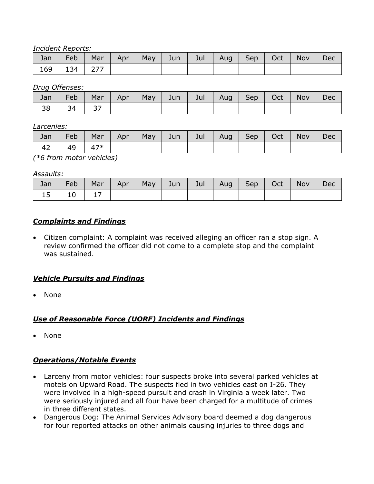*Incident Reports:*

| Jan | Feb | Mar | Apr <sup>1</sup> | May $ $ Jun $ $ | Jul I | Aug Sep Oct | Nov | Dec |
|-----|-----|-----|------------------|-----------------|-------|-------------|-----|-----|
| 169 | 134 | 277 |                  |                 |       |             |     |     |

*Drug Offenses:*

| Jan | Feb | Mar | Apr | May | Jun | Jul | Aug | Sep | Oct | <b>Nov</b> | Dec |
|-----|-----|-----|-----|-----|-----|-----|-----|-----|-----|------------|-----|
| 38  |     | ر ر |     |     |     |     |     |     |     |            |     |

*Larcenies:*

| Jan    | Feb | Mar   | Apr | May | Jun | Jul | Aug | Sep | Oct | Nov | Dec |
|--------|-----|-------|-----|-----|-----|-----|-----|-----|-----|-----|-----|
| 42     | 49  | $47*$ |     |     |     |     |     |     |     |     |     |
| $\sim$ |     |       |     |     |     |     |     |     |     |     |     |

*(\*6 from motor vehicles)*

#### *Assaults:*

| Jan      | Feb | Mar | Apr <sup>1</sup> | May | Jun | Jul | Aug   Sep   Oct | <b>Nov</b> | Dec |
|----------|-----|-----|------------------|-----|-----|-----|-----------------|------------|-----|
| ┐⊾<br>⊥J | ⊥∪  |     |                  |     |     |     |                 |            |     |

## *Complaints and Findings*

• Citizen complaint: A complaint was received alleging an officer ran a stop sign. A review confirmed the officer did not come to a complete stop and the complaint was sustained.

## *Vehicle Pursuits and Findings*

• None

# *Use of Reasonable Force (UORF) Incidents and Findings*

• None

## *Operations/Notable Events*

- Larceny from motor vehicles: four suspects broke into several parked vehicles at motels on Upward Road. The suspects fled in two vehicles east on I-26. They were involved in a high-speed pursuit and crash in Virginia a week later. Two were seriously injured and all four have been charged for a multitude of crimes in three different states.
- Dangerous Dog: The Animal Services Advisory board deemed a dog dangerous for four reported attacks on other animals causing injuries to three dogs and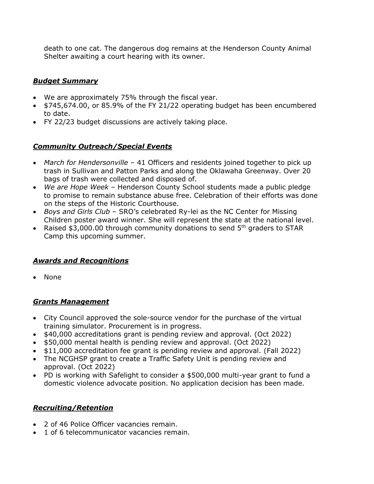death to one cat. The dangerous dog remains at the Henderson County Animal Shelter awaiting a court hearing with its owner.

#### *Budget Summary*

- We are approximately 75% through the fiscal year.
- \$745,674.00, or 85.9% of the FY 21/22 operating budget has been encumbered to date.
- FY 22/23 budget discussions are actively taking place.

## *Community Outreach/Special Events*

- *March for Hendersonville* 41 Officers and residents joined together to pick up trash in Sullivan and Patton Parks and along the Oklawaha Greenway. Over 20 bags of trash were collected and disposed of.
- *We are Hope Week –* Henderson County School students made a public pledge to promise to remain substance abuse free. Celebration of their efforts was done on the steps of the Historic Courthouse.
- *Boys and Girls Club* SRO's celebrated Ry-lei as the NC Center for Missing Children poster award winner. She will represent the state at the national level.
- Raised \$3,000.00 through community donations to send 5<sup>th</sup> graders to STAR Camp this upcoming summer.

## *Awards and Recognitions*

• None

## *Grants Management*

- City Council approved the sole-source vendor for the purchase of the virtual training simulator. Procurement is in progress.
- \$40,000 accreditations grant is pending review and approval. (Oct 2022)
- \$50,000 mental health is pending review and approval. (Oct 2022)
- \$11,000 accreditation fee grant is pending review and approval. (Fall 2022)
- The NCGHSP grant to create a Traffic Safety Unit is pending review and approval. (Oct 2022)
- PD is working with Safelight to consider a \$500,000 multi-year grant to fund a domestic violence advocate position. No application decision has been made.

## *Recruiting/Retention*

- 2 of 46 Police Officer vacancies remain.
- 1 of 6 telecommunicator vacancies remain.